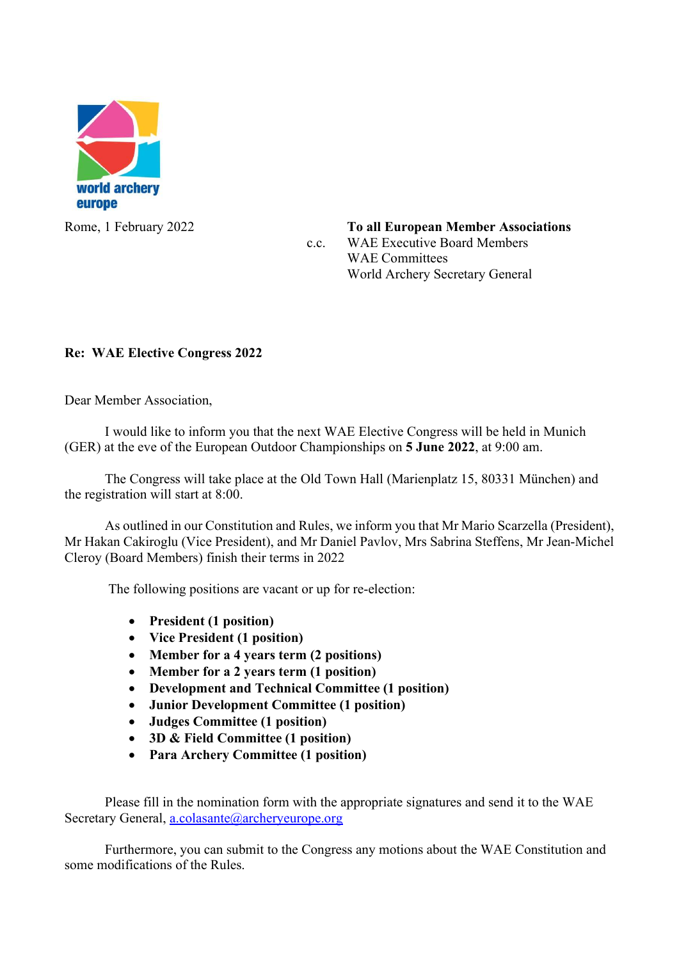

Rome, 1 February 2022 **To all European Member Associations**  c.c. WAE Executive Board Members WAE Committees World Archery Secretary General

## Re: WAE Elective Congress 2022

Dear Member Association,

 I would like to inform you that the next WAE Elective Congress will be held in Munich (GER) at the eve of the European Outdoor Championships on 5 June 2022, at 9:00 am.

 The Congress will take place at the Old Town Hall (Marienplatz 15, 80331 München) and the registration will start at 8:00.

As outlined in our Constitution and Rules, we inform you that Mr Mario Scarzella (President), Mr Hakan Cakiroglu (Vice President), and Mr Daniel Pavlov, Mrs Sabrina Steffens, Mr Jean-Michel Cleroy (Board Members) finish their terms in 2022

The following positions are vacant or up for re-election:

- President (1 position)
- Vice President (1 position)
- Member for a 4 years term (2 positions)
- Member for a 2 years term (1 position)
- Development and Technical Committee (1 position)
- Junior Development Committee (1 position)
- Judges Committee (1 position)
- 3D & Field Committee (1 position)
- Para Archery Committee (1 position)

Please fill in the nomination form with the appropriate signatures and send it to the WAE Secretary General, a.colasante@archeryeurope.org

Furthermore, you can submit to the Congress any motions about the WAE Constitution and some modifications of the Rules.